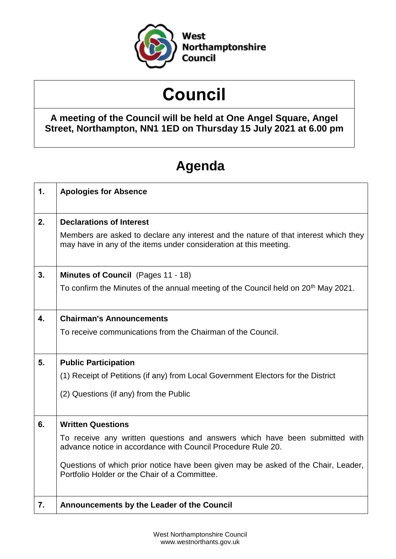

# **Council**

# **A meeting of the Council will be held at One Angel Square, Angel Street, Northampton, NN1 1ED on Thursday 15 July 2021 at 6.00 pm**

# **Agenda**

| 1.                                       | <b>Apologies for Absence</b>                                                                                                                              |  |
|------------------------------------------|-----------------------------------------------------------------------------------------------------------------------------------------------------------|--|
| 2.<br><b>Declarations of Interest</b>    |                                                                                                                                                           |  |
|                                          | Members are asked to declare any interest and the nature of that interest which they<br>may have in any of the items under consideration at this meeting. |  |
| 3.<br>Minutes of Council (Pages 11 - 18) |                                                                                                                                                           |  |
|                                          | To confirm the Minutes of the annual meeting of the Council held on 20 <sup>th</sup> May 2021.                                                            |  |
| 4.                                       | <b>Chairman's Announcements</b>                                                                                                                           |  |
|                                          | To receive communications from the Chairman of the Council.                                                                                               |  |
| 5.                                       | <b>Public Participation</b>                                                                                                                               |  |
|                                          | (1) Receipt of Petitions (if any) from Local Government Electors for the District                                                                         |  |
|                                          | (2) Questions (if any) from the Public                                                                                                                    |  |
|                                          |                                                                                                                                                           |  |
| 6.                                       | <b>Written Questions</b>                                                                                                                                  |  |
|                                          | To receive any written questions and answers which have been submitted with<br>advance notice in accordance with Council Procedure Rule 20.               |  |
|                                          | Questions of which prior notice have been given may be asked of the Chair, Leader,<br>Portfolio Holder or the Chair of a Committee.                       |  |
| 7.                                       | <b>Announcements by the Leader of the Council</b>                                                                                                         |  |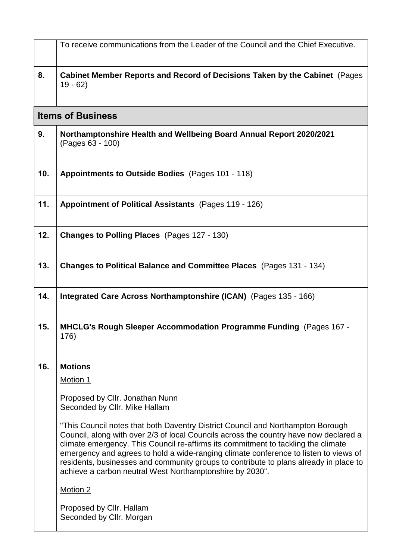|                          | To receive communications from the Leader of the Council and the Chief Executive.                                                                                                                                                                                                                                                                                                                                                                                                                          |  |  |  |
|--------------------------|------------------------------------------------------------------------------------------------------------------------------------------------------------------------------------------------------------------------------------------------------------------------------------------------------------------------------------------------------------------------------------------------------------------------------------------------------------------------------------------------------------|--|--|--|
| 8.                       | Cabinet Member Reports and Record of Decisions Taken by the Cabinet (Pages<br>$19 - 62$                                                                                                                                                                                                                                                                                                                                                                                                                    |  |  |  |
| <b>Items of Business</b> |                                                                                                                                                                                                                                                                                                                                                                                                                                                                                                            |  |  |  |
| 9.                       | Northamptonshire Health and Wellbeing Board Annual Report 2020/2021<br>(Pages 63 - 100)                                                                                                                                                                                                                                                                                                                                                                                                                    |  |  |  |
| 10.                      | Appointments to Outside Bodies (Pages 101 - 118)                                                                                                                                                                                                                                                                                                                                                                                                                                                           |  |  |  |
| 11.                      | Appointment of Political Assistants (Pages 119 - 126)                                                                                                                                                                                                                                                                                                                                                                                                                                                      |  |  |  |
| 12.                      | <b>Changes to Polling Places</b> (Pages 127 - 130)                                                                                                                                                                                                                                                                                                                                                                                                                                                         |  |  |  |
| 13.                      | <b>Changes to Political Balance and Committee Places</b> (Pages 131 - 134)                                                                                                                                                                                                                                                                                                                                                                                                                                 |  |  |  |
| 14.                      | Integrated Care Across Northamptonshire (ICAN) (Pages 135 - 166)                                                                                                                                                                                                                                                                                                                                                                                                                                           |  |  |  |
| 15.                      | <b>MHCLG's Rough Sleeper Accommodation Programme Funding (Pages 167 -</b><br>176)                                                                                                                                                                                                                                                                                                                                                                                                                          |  |  |  |
| 16.                      | <b>Motions</b>                                                                                                                                                                                                                                                                                                                                                                                                                                                                                             |  |  |  |
|                          | Motion 1                                                                                                                                                                                                                                                                                                                                                                                                                                                                                                   |  |  |  |
|                          | Proposed by Cllr. Jonathan Nunn<br>Seconded by Cllr. Mike Hallam                                                                                                                                                                                                                                                                                                                                                                                                                                           |  |  |  |
|                          | "This Council notes that both Daventry District Council and Northampton Borough<br>Council, along with over 2/3 of local Councils across the country have now declared a<br>climate emergency. This Council re-affirms its commitment to tackling the climate<br>emergency and agrees to hold a wide-ranging climate conference to listen to views of<br>residents, businesses and community groups to contribute to plans already in place to<br>achieve a carbon neutral West Northamptonshire by 2030". |  |  |  |
|                          | Motion 2                                                                                                                                                                                                                                                                                                                                                                                                                                                                                                   |  |  |  |
|                          | Proposed by Cllr. Hallam<br>Seconded by Cllr. Morgan                                                                                                                                                                                                                                                                                                                                                                                                                                                       |  |  |  |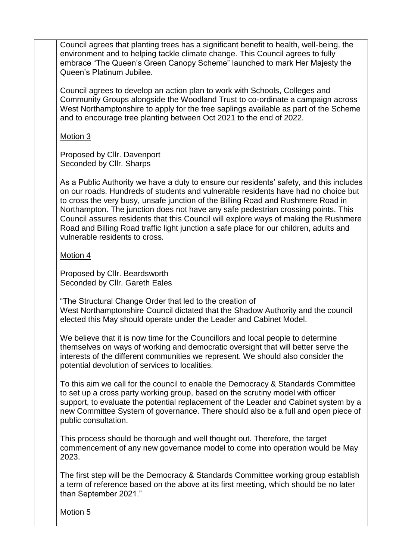Council agrees that planting trees has a significant benefit to health, well-being, the environment and to helping tackle climate change. This Council agrees to fully embrace "The Queen's Green Canopy Scheme" launched to mark Her Majesty the Queen's Platinum Jubilee.

Council agrees to develop an action plan to work with Schools, Colleges and Community Groups alongside the Woodland Trust to co-ordinate a campaign across West Northamptonshire to apply for the free saplings available as part of the Scheme and to encourage tree planting between Oct 2021 to the end of 2022.

Motion 3

Proposed by Cllr. Davenport Seconded by Cllr. Sharps

As a Public Authority we have a duty to ensure our residents' safety, and this includes on our roads. Hundreds of students and vulnerable residents have had no choice but to cross the very busy, unsafe junction of the Billing Road and Rushmere Road in Northampton. The junction does not have any safe pedestrian crossing points. This Council assures residents that this Council will explore ways of making the Rushmere Road and Billing Road traffic light junction a safe place for our children, adults and vulnerable residents to cross.

Motion 4

Proposed by Cllr. Beardsworth Seconded by Cllr. Gareth Eales

"The Structural Change Order that led to the creation of West Northamptonshire Council dictated that the Shadow Authority and the council elected this May should operate under the Leader and Cabinet Model.

We believe that it is now time for the Councillors and local people to determine themselves on ways of working and democratic oversight that will better serve the interests of the different communities we represent. We should also consider the potential devolution of services to localities.

To this aim we call for the council to enable the Democracy & Standards Committee to set up a cross party working group, based on the scrutiny model with officer support, to evaluate the potential replacement of the Leader and Cabinet system by a new Committee System of governance. There should also be a full and open piece of public consultation.

This process should be thorough and well thought out. Therefore, the target commencement of any new governance model to come into operation would be May 2023.

The first step will be the Democracy & Standards Committee working group establish a term of reference based on the above at its first meeting, which should be no later than September 2021."

Motion 5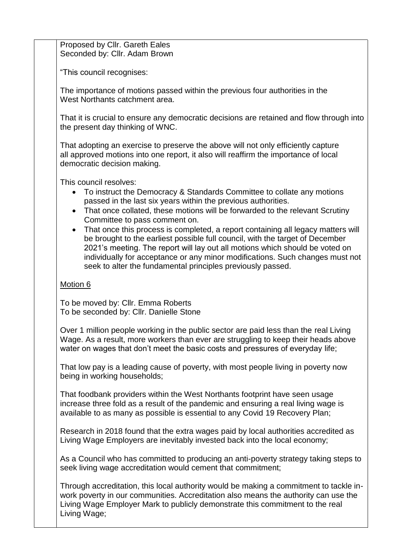Proposed by Cllr. Gareth Eales Seconded by: Cllr. Adam Brown

"This council recognises:

The importance of motions passed within the previous four authorities in the West Northants catchment area.

That it is crucial to ensure any democratic decisions are retained and flow through into the present day thinking of WNC.

That adopting an exercise to preserve the above will not only efficiently capture all approved motions into one report, it also will reaffirm the importance of local democratic decision making.

This council resolves:

- To instruct the Democracy & Standards Committee to collate any motions passed in the last six years within the previous authorities.
- That once collated, these motions will be forwarded to the relevant Scrutiny Committee to pass comment on.
- That once this process is completed, a report containing all legacy matters will be brought to the earliest possible full council, with the target of December 2021's meeting. The report will lay out all motions which should be voted on individually for acceptance or any minor modifications. Such changes must not seek to alter the fundamental principles previously passed.

# Motion 6

To be moved by: Cllr. Emma Roberts To be seconded by: Cllr. Danielle Stone

Over 1 million people working in the public sector are paid less than the real Living Wage. As a result, more workers than ever are struggling to keep their heads above water on wages that don't meet the basic costs and pressures of everyday life;

That low pay is a leading cause of poverty, with most people living in poverty now being in working households;

That foodbank providers within the West Northants footprint have seen usage increase three fold as a result of the pandemic and ensuring a real living wage is available to as many as possible is essential to any Covid 19 Recovery Plan;

Research in 2018 found that the extra wages paid by local authorities accredited as Living Wage Employers are inevitably invested back into the local economy;

As a Council who has committed to producing an anti-poverty strategy taking steps to seek living wage accreditation would cement that commitment;

Through accreditation, this local authority would be making a commitment to tackle inwork poverty in our communities. Accreditation also means the authority can use the Living Wage Employer Mark to publicly demonstrate this commitment to the real Living Wage;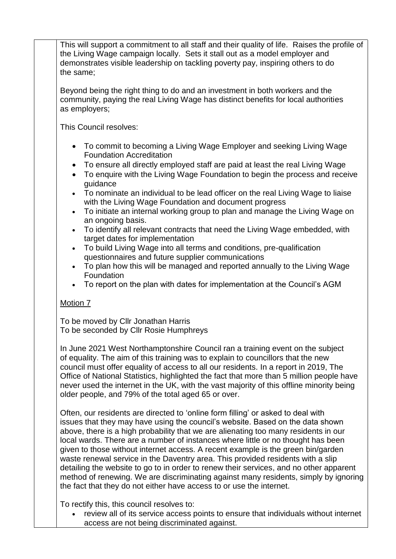This will support a commitment to all staff and their quality of life. Raises the profile of the Living Wage campaign locally. Sets it stall out as a model employer and demonstrates visible leadership on tackling poverty pay, inspiring others to do the same;

Beyond being the right thing to do and an investment in both workers and the community, paying the real Living Wage has distinct benefits for local authorities as employers;

This Council resolves:

- To commit to becoming a Living Wage Employer and seeking Living Wage Foundation Accreditation
- To ensure all directly employed staff are paid at least the real Living Wage
- To enquire with the Living Wage Foundation to begin the process and receive guidance
- To nominate an individual to be lead officer on the real Living Wage to liaise with the Living Wage Foundation and document progress
- To initiate an internal working group to plan and manage the Living Wage on an ongoing basis.
- To identify all relevant contracts that need the Living Wage embedded, with target dates for implementation
- To build Living Wage into all terms and conditions, pre-qualification questionnaires and future supplier communications
- To plan how this will be managed and reported annually to the Living Wage Foundation
- To report on the plan with dates for implementation at the Council's AGM

## Motion 7

To be moved by Cllr Jonathan Harris To be seconded by Cllr Rosie Humphreys

In June 2021 West Northamptonshire Council ran a training event on the subject of equality. The aim of this training was to explain to councillors that the new council must offer equality of access to all our residents. In a report in 2019, The Office of National Statistics, highlighted the fact that more than 5 million people have never used the internet in the UK, with the vast majority of this offline minority being older people, and 79% of the total aged 65 or over.

Often, our residents are directed to 'online form filling' or asked to deal with issues that they may have using the council's website. Based on the data shown above, there is a high probability that we are alienating too many residents in our local wards. There are a number of instances where little or no thought has been given to those without internet access. A recent example is the green bin/garden waste renewal service in the Daventry area. This provided residents with a slip detailing the website to go to in order to renew their services, and no other apparent method of renewing. We are discriminating against many residents, simply by ignoring the fact that they do not either have access to or use the internet.

To rectify this, this council resolves to:

 review all of its service access points to ensure that individuals without internet access are not being discriminated against.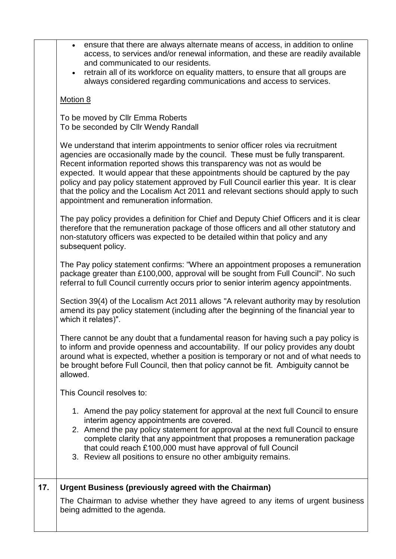|     | ensure that there are always alternate means of access, in addition to online<br>$\bullet$<br>access, to services and/or renewal information, and these are readily available<br>and communicated to our residents.<br>retrain all of its workforce on equality matters, to ensure that all groups are<br>$\bullet$<br>always considered regarding communications and access to services.                                                                                                                                                                        |  |  |
|-----|------------------------------------------------------------------------------------------------------------------------------------------------------------------------------------------------------------------------------------------------------------------------------------------------------------------------------------------------------------------------------------------------------------------------------------------------------------------------------------------------------------------------------------------------------------------|--|--|
|     | Motion 8                                                                                                                                                                                                                                                                                                                                                                                                                                                                                                                                                         |  |  |
|     | To be moved by Cllr Emma Roberts<br>To be seconded by Cllr Wendy Randall                                                                                                                                                                                                                                                                                                                                                                                                                                                                                         |  |  |
|     | We understand that interim appointments to senior officer roles via recruitment<br>agencies are occasionally made by the council. These must be fully transparent.<br>Recent information reported shows this transparency was not as would be<br>expected. It would appear that these appointments should be captured by the pay<br>policy and pay policy statement approved by Full Council earlier this year. It is clear<br>that the policy and the Localism Act 2011 and relevant sections should apply to such<br>appointment and remuneration information. |  |  |
|     | The pay policy provides a definition for Chief and Deputy Chief Officers and it is clear<br>therefore that the remuneration package of those officers and all other statutory and<br>non-statutory officers was expected to be detailed within that policy and any<br>subsequent policy.                                                                                                                                                                                                                                                                         |  |  |
|     | The Pay policy statement confirms: "Where an appointment proposes a remuneration<br>package greater than £100,000, approval will be sought from Full Council". No such<br>referral to full Council currently occurs prior to senior interim agency appointments.                                                                                                                                                                                                                                                                                                 |  |  |
|     | Section 39(4) of the Localism Act 2011 allows "A relevant authority may by resolution<br>amend its pay policy statement (including after the beginning of the financial year to<br>which it relates)".                                                                                                                                                                                                                                                                                                                                                           |  |  |
|     | There cannot be any doubt that a fundamental reason for having such a pay policy is<br>to inform and provide openness and accountability. If our policy provides any doubt<br>around what is expected, whether a position is temporary or not and of what needs to<br>be brought before Full Council, then that policy cannot be fit. Ambiguity cannot be<br>allowed.                                                                                                                                                                                            |  |  |
|     | This Council resolves to:                                                                                                                                                                                                                                                                                                                                                                                                                                                                                                                                        |  |  |
|     | 1. Amend the pay policy statement for approval at the next full Council to ensure<br>interim agency appointments are covered.<br>2. Amend the pay policy statement for approval at the next full Council to ensure<br>complete clarity that any appointment that proposes a remuneration package<br>that could reach £100,000 must have approval of full Council<br>3. Review all positions to ensure no other ambiguity remains.                                                                                                                                |  |  |
| 17. | <b>Urgent Business (previously agreed with the Chairman)</b>                                                                                                                                                                                                                                                                                                                                                                                                                                                                                                     |  |  |
|     | The Chairman to advise whether they have agreed to any items of urgent business<br>being admitted to the agenda.                                                                                                                                                                                                                                                                                                                                                                                                                                                 |  |  |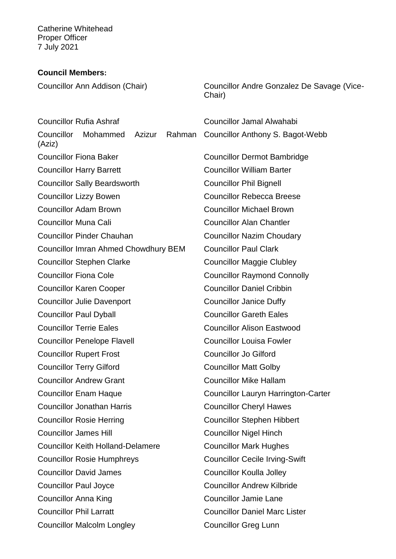Catherine Whitehead Proper Officer 7 July 2021

#### **Council Members:**

| Councillor Ann Addison (Chair)                       | Councillor Andre Gonzalez De Savage (Vice-<br>Chair) |
|------------------------------------------------------|------------------------------------------------------|
| <b>Councillor Rufia Ashraf</b>                       | Councillor Jamal Alwahabi                            |
| Councillor<br>Mohammed<br>Azizur<br>Rahman<br>(Aziz) | <b>Councillor Anthony S. Bagot-Webb</b>              |
| <b>Councillor Fiona Baker</b>                        | <b>Councillor Dermot Bambridge</b>                   |
| <b>Councillor Harry Barrett</b>                      | <b>Councillor William Barter</b>                     |
| <b>Councillor Sally Beardsworth</b>                  | <b>Councillor Phil Bignell</b>                       |
| <b>Councillor Lizzy Bowen</b>                        | <b>Councillor Rebecca Breese</b>                     |
| <b>Councillor Adam Brown</b>                         | <b>Councillor Michael Brown</b>                      |
| <b>Councillor Muna Cali</b>                          | <b>Councillor Alan Chantler</b>                      |
| <b>Councillor Pinder Chauhan</b>                     | <b>Councillor Nazim Choudary</b>                     |
| <b>Councillor Imran Ahmed Chowdhury BEM</b>          | <b>Councillor Paul Clark</b>                         |
| <b>Councillor Stephen Clarke</b>                     | <b>Councillor Maggie Clubley</b>                     |
| <b>Councillor Fiona Cole</b>                         | <b>Councillor Raymond Connolly</b>                   |
| <b>Councillor Karen Cooper</b>                       | <b>Councillor Daniel Cribbin</b>                     |
| <b>Councillor Julie Davenport</b>                    | <b>Councillor Janice Duffy</b>                       |
| <b>Councillor Paul Dyball</b>                        | <b>Councillor Gareth Eales</b>                       |
| <b>Councillor Terrie Eales</b>                       | <b>Councillor Alison Eastwood</b>                    |
| <b>Councillor Penelope Flavell</b>                   | <b>Councillor Louisa Fowler</b>                      |
| <b>Councillor Rupert Frost</b>                       | <b>Councillor Jo Gilford</b>                         |
| <b>Councillor Terry Gilford</b>                      | <b>Councillor Matt Golby</b>                         |
| <b>Councillor Andrew Grant</b>                       | <b>Councillor Mike Hallam</b>                        |
| <b>Councillor Enam Haque</b>                         | Councillor Lauryn Harrington-Carter                  |
| <b>Councillor Jonathan Harris</b>                    | <b>Councillor Cheryl Hawes</b>                       |
| <b>Councillor Rosie Herring</b>                      | <b>Councillor Stephen Hibbert</b>                    |
| <b>Councillor James Hill</b>                         | <b>Councillor Nigel Hinch</b>                        |
| <b>Councillor Keith Holland-Delamere</b>             | <b>Councillor Mark Hughes</b>                        |
| <b>Councillor Rosie Humphreys</b>                    | <b>Councillor Cecile Irving-Swift</b>                |
| <b>Councillor David James</b>                        | <b>Councillor Koulla Jolley</b>                      |
| <b>Councillor Paul Joyce</b>                         | <b>Councillor Andrew Kilbride</b>                    |
| <b>Councillor Anna King</b>                          | <b>Councillor Jamie Lane</b>                         |
| <b>Councillor Phil Larratt</b>                       | <b>Councillor Daniel Marc Lister</b>                 |
| <b>Councillor Malcolm Longley</b>                    | <b>Councillor Greg Lunn</b>                          |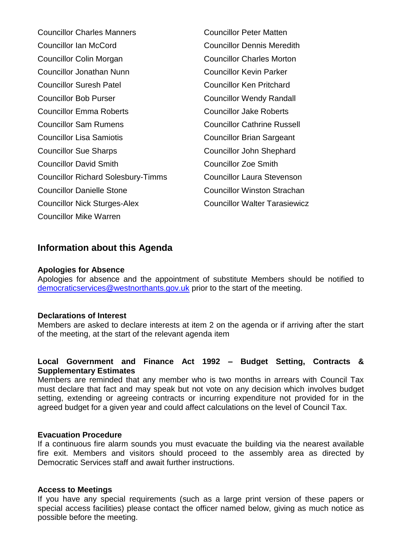Councillor Charles Manners Councillor Peter Matten Councillor Ian McCord Councillor Dennis Meredith Councillor Colin Morgan Councillor Charles Morton Councillor Jonathan Nunn Councillor Kevin Parker Councillor Suresh Patel Councillor Ken Pritchard Councillor Bob Purser Councillor Wendy Randall Councillor Emma Roberts Councillor Jake Roberts Councillor Sam Rumens Councillor Cathrine Russell Councillor Lisa Samiotis Councillor Brian Sargeant Councillor Sue Sharps Councillor John Shephard Councillor David Smith Councillor Zoe Smith Councillor Richard Solesbury-Timms Councillor Laura Stevenson Councillor Danielle Stone Councillor Winston Strachan Councillor Nick Sturges-Alex Councillor Walter Tarasiewicz Councillor Mike Warren

# **Information about this Agenda**

#### **Apologies for Absence**

Apologies for absence and the appointment of substitute Members should be notified to [democraticservices@westnorthants.gov.uk](mailto:democraticservices@westnorthants.gov.uk) prior to the start of the meeting.

#### **Declarations of Interest**

Members are asked to declare interests at item 2 on the agenda or if arriving after the start of the meeting, at the start of the relevant agenda item

#### **Local Government and Finance Act 1992 – Budget Setting, Contracts & Supplementary Estimates**

Members are reminded that any member who is two months in arrears with Council Tax must declare that fact and may speak but not vote on any decision which involves budget setting, extending or agreeing contracts or incurring expenditure not provided for in the agreed budget for a given year and could affect calculations on the level of Council Tax.

#### **Evacuation Procedure**

If a continuous fire alarm sounds you must evacuate the building via the nearest available fire exit. Members and visitors should proceed to the assembly area as directed by Democratic Services staff and await further instructions.

#### **Access to Meetings**

If you have any special requirements (such as a large print version of these papers or special access facilities) please contact the officer named below, giving as much notice as possible before the meeting.